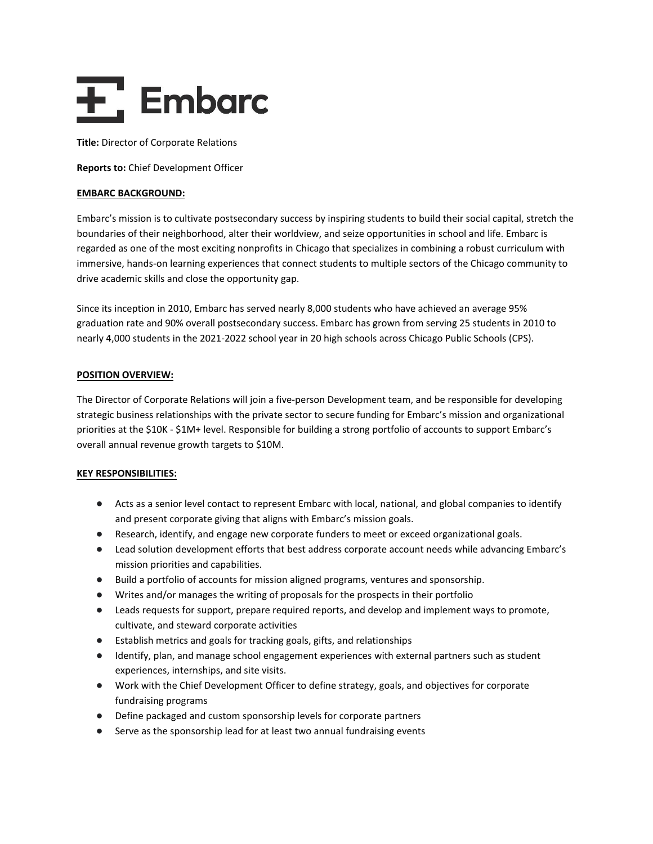# $\overline{+}$ , Embarc

**Title:** Director of Corporate Relations

**Reports to:** Chief Development Officer

#### **EMBARC BACKGROUND:**

Embarc's mission is to cultivate postsecondary success by inspiring students to build their social capital, stretch the boundaries of their neighborhood, alter their worldview, and seize opportunities in school and life. Embarc is regarded as one of the most exciting nonprofits in Chicago that specializes in combining a robust curriculum with immersive, hands-on learning experiences that connect students to multiple sectors of the Chicago community to drive academic skills and close the opportunity gap.

Since its inception in 2010, Embarc has served nearly 8,000 students who have achieved an average 95% graduation rate and 90% overall postsecondary success. Embarc has grown from serving 25 students in 2010 to nearly 4,000 students in the 2021-2022 school year in 20 high schools across Chicago Public Schools (CPS).

## **POSITION OVERVIEW:**

The Director of Corporate Relations will join a five-person Development team, and be responsible for developing strategic business relationships with the private sector to secure funding for Embarc's mission and organizational priorities at the \$10K - \$1M+ level. Responsible for building a strong portfolio of accounts to support Embarc's overall annual revenue growth targets to \$10M.

## **KEY RESPONSIBILITIES:**

- Acts as a senior level contact to represent Embarc with local, national, and global companies to identify and present corporate giving that aligns with Embarc's mission goals.
- Research, identify, and engage new corporate funders to meet or exceed organizational goals.
- Lead solution development efforts that best address corporate account needs while advancing Embarc's mission priorities and capabilities.
- Build a portfolio of accounts for mission aligned programs, ventures and sponsorship.
- Writes and/or manages the writing of proposals for the prospects in their portfolio
- Leads requests for support, prepare required reports, and develop and implement ways to promote, cultivate, and steward corporate activities
- Establish metrics and goals for tracking goals, gifts, and relationships
- Identify, plan, and manage school engagement experiences with external partners such as student experiences, internships, and site visits.
- Work with the Chief Development Officer to define strategy, goals, and objectives for corporate fundraising programs
- Define packaged and custom sponsorship levels for corporate partners
- Serve as the sponsorship lead for at least two annual fundraising events